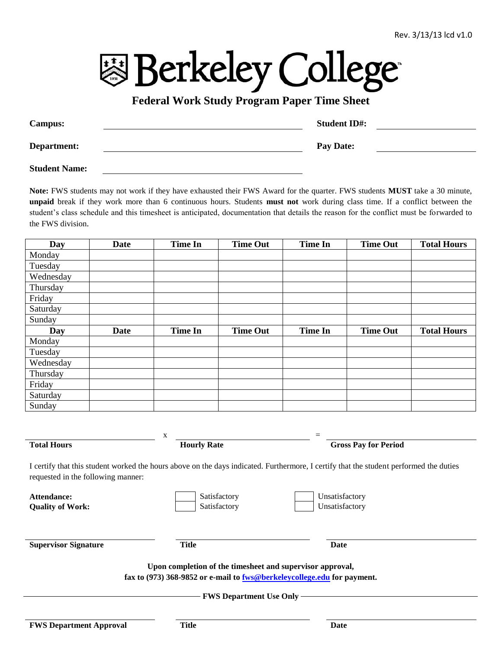**图 Berkeley College** 

## **Federal Work Study Program Paper Time Sheet**

| <b>Campus:</b> | <b>Student ID#:</b> |  |
|----------------|---------------------|--|
| Department:    | <b>Pay Date:</b>    |  |

**Student Name:**

**Note:** FWS students may not work if they have exhausted their FWS Award for the quarter. FWS students **MUST** take a 30 minute, **unpaid** break if they work more than 6 continuous hours. Students **must not** work during class time. If a conflict between the student's class schedule and this timesheet is anticipated, documentation that details the reason for the conflict must be forwarded to the FWS division.

| Day       | <b>Date</b> | <b>Time In</b> | <b>Time Out</b> | <b>Time In</b> | <b>Time Out</b> | <b>Total Hours</b> |
|-----------|-------------|----------------|-----------------|----------------|-----------------|--------------------|
| Monday    |             |                |                 |                |                 |                    |
| Tuesday   |             |                |                 |                |                 |                    |
| Wednesday |             |                |                 |                |                 |                    |
| Thursday  |             |                |                 |                |                 |                    |
| Friday    |             |                |                 |                |                 |                    |
| Saturday  |             |                |                 |                |                 |                    |
| Sunday    |             |                |                 |                |                 |                    |
| Day       | <b>Date</b> | <b>Time In</b> | <b>Time Out</b> | <b>Time In</b> | <b>Time Out</b> | <b>Total Hours</b> |
| Monday    |             |                |                 |                |                 |                    |
| Tuesday   |             |                |                 |                |                 |                    |
| Wednesday |             |                |                 |                |                 |                    |
| Thursday  |             |                |                 |                |                 |                    |
| Friday    |             |                |                 |                |                 |                    |
| Saturday  |             |                |                 |                |                 |                    |
| Sunday    |             |                |                 |                |                 |                    |

**Total Hours Hourly Rate Gross Pay for Period**

I certify that this student worked the hours above on the days indicated. Furthermore, I certify that the student performed the duties requested in the following manner:

 $x =$ 

| Attendance:<br><b>Quality of Work:</b>                                                                                               | Satisfactory<br>Satisfactory                     | Unsatisfactory<br>Unsatisfactory |  |  |  |  |  |
|--------------------------------------------------------------------------------------------------------------------------------------|--------------------------------------------------|----------------------------------|--|--|--|--|--|
| <b>Supervisor Signature</b>                                                                                                          | <b>Title</b>                                     | Date                             |  |  |  |  |  |
| Upon completion of the timesheet and supervisor approval,<br>fax to (973) 368-9852 or e-mail to fws@berkeleycollege.edu for payment. |                                                  |                                  |  |  |  |  |  |
| <b>FWS Department Approval</b>                                                                                                       | <b>FWS Department Use Only -</b><br><b>Title</b> | Date                             |  |  |  |  |  |